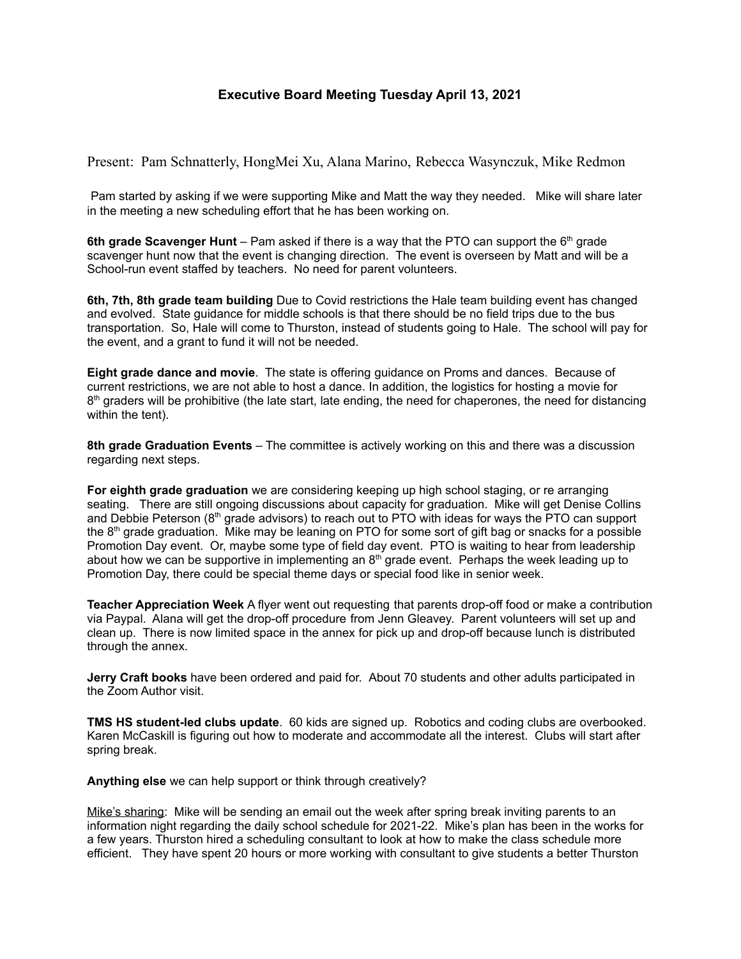## **Executive Board Meeting Tuesday April 13, 2021**

Present: Pam Schnatterly, HongMei Xu, Alana Marino, Rebecca Wasynczuk, Mike Redmon

Pam started by asking if we were supporting Mike and Matt the way they needed. Mike will share later in the meeting a new scheduling effort that he has been working on.

**6th grade Scavenger Hunt** – Pam asked if there is a way that the PTO can support the 6 th grade scavenger hunt now that the event is changing direction. The event is overseen by Matt and will be a School-run event staffed by teachers. No need for parent volunteers.

**6th, 7th, 8th grade team building** Due to Covid restrictions the Hale team building event has changed and evolved. State guidance for middle schools is that there should be no field trips due to the bus transportation. So, Hale will come to Thurston, instead of students going to Hale. The school will pay for the event, and a grant to fund it will not be needed.

**Eight grade dance and movie**. The state is offering guidance on Proms and dances. Because of current restrictions, we are not able to host a dance. In addition, the logistics for hosting a movie for 8<sup>th</sup> graders will be prohibitive (the late start, late ending, the need for chaperones, the need for distancing within the tent).

**8th grade Graduation Events** – The committee is actively working on this and there was a discussion regarding next steps.

**For eighth grade graduation** we are considering keeping up high school staging, or re arranging seating. There are still ongoing discussions about capacity for graduation. Mike will get Denise Collins and Debbie Peterson (8<sup>th</sup> grade advisors) to reach out to PTO with ideas for ways the PTO can support the 8<sup>th</sup> grade graduation. Mike may be leaning on PTO for some sort of gift bag or snacks for a possible Promotion Day event. Or, maybe some type of field day event. PTO is waiting to hear from leadership about how we can be supportive in implementing an  $8<sup>th</sup>$  grade event. Perhaps the week leading up to Promotion Day, there could be special theme days or special food like in senior week.

**Teacher Appreciation Week** A flyer went out requesting that parents drop-off food or make a contribution via Paypal. Alana will get the drop-off procedure from Jenn Gleavey. Parent volunteers will set up and clean up. There is now limited space in the annex for pick up and drop-off because lunch is distributed through the annex.

**Jerry Craft books** have been ordered and paid for. About 70 students and other adults participated in the Zoom Author visit.

**TMS HS student-led clubs update**. 60 kids are signed up. Robotics and coding clubs are overbooked. Karen McCaskill is figuring out how to moderate and accommodate all the interest. Clubs will start after spring break.

**Anything else** we can help support or think through creatively?

Mike's sharing: Mike will be sending an email out the week after spring break inviting parents to an information night regarding the daily school schedule for 2021-22. Mike's plan has been in the works for a few years. Thurston hired a scheduling consultant to look at how to make the class schedule more efficient. They have spent 20 hours or more working with consultant to give students a better Thurston